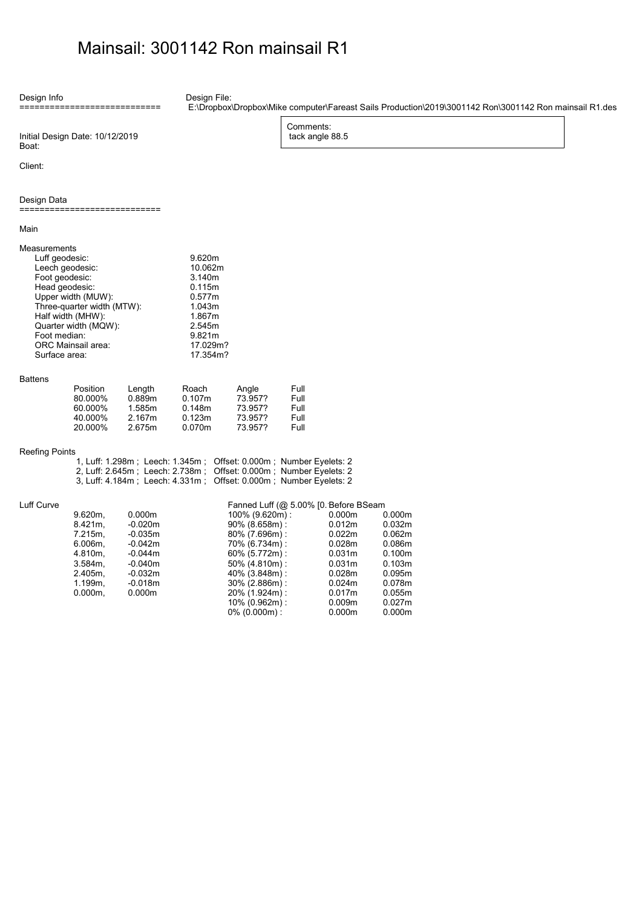## Mainsail: 3001142 Ron mainsail R1

Design Info ============================ Design File:

E:\Dropbox\Dropbox\Mike computer\Fareast Sails Production\2019\3001142 Ron\3001142 Ron mainsail R1.des

10% (0.962m) : 0.009m 0.027m 0% (0.000m) : 0.000m 0.000m

Comments: tack angle 88.5

Initial Design Date: 10/12/2019 Boat:

Client:

Design Data

============================

Main

| ividii i                                                                                                                                                                                                                                      |            |                                   |                                                                                                                 |                                       |      |                    |        |
|-----------------------------------------------------------------------------------------------------------------------------------------------------------------------------------------------------------------------------------------------|------------|-----------------------------------|-----------------------------------------------------------------------------------------------------------------|---------------------------------------|------|--------------------|--------|
| Measurements<br>Luff geodesic:<br>Leech geodesic:<br>Foot geodesic:<br>Head geodesic:<br>Upper width (MUW):<br>Three-quarter width (MTW):<br>Half width (MHW):<br>Quarter width (MQW):<br>Foot median:<br>ORC Mainsail area:<br>Surface area: |            |                                   | 9.620m<br>10.062m<br>3.140m<br>0.115m<br>0.577m<br>1.043m<br>1.867m<br>2.545m<br>9.821m<br>17.029m?<br>17.354m? |                                       |      |                    |        |
| <b>Battens</b>                                                                                                                                                                                                                                |            |                                   |                                                                                                                 |                                       |      |                    |        |
|                                                                                                                                                                                                                                               | Position   | Length                            | Roach                                                                                                           | Angle                                 | Full |                    |        |
|                                                                                                                                                                                                                                               | 80.000%    | 0.889m                            | 0.107m                                                                                                          | 73.957?                               | Full |                    |        |
|                                                                                                                                                                                                                                               | 60.000%    | 1.585m                            | 0.148m                                                                                                          | 73.957?                               | Full |                    |        |
|                                                                                                                                                                                                                                               | 40.000%    | 2.167m                            | 0.123m                                                                                                          | 73.957?                               | Full |                    |        |
|                                                                                                                                                                                                                                               | 20.000%    | 2.675m                            | 0.070m                                                                                                          | 73.957?                               | Full |                    |        |
| <b>Reefing Points</b>                                                                                                                                                                                                                         |            |                                   |                                                                                                                 |                                       |      |                    |        |
|                                                                                                                                                                                                                                               |            |                                   | 1, Luff: 1.298m; Leech: 1.345m; Offset: 0.000m; Number Eyelets: 2                                               |                                       |      |                    |        |
|                                                                                                                                                                                                                                               |            | 2, Luff: 2.645m ; Leech: 2.738m ; |                                                                                                                 | Offset: 0.000m; Number Eyelets: 2     |      |                    |        |
|                                                                                                                                                                                                                                               |            | 3, Luff: 4.184m ; Leech: 4.331m ; |                                                                                                                 | Offset: 0.000m; Number Eyelets: 2     |      |                    |        |
| Luff Curve                                                                                                                                                                                                                                    |            |                                   |                                                                                                                 | Fanned Luff (@ 5.00% [0. Before BSeam |      |                    |        |
|                                                                                                                                                                                                                                               | $9.620m$ , | 0.000m                            |                                                                                                                 | 100% (9.620m):                        |      | 0.000m             | 0.000m |
|                                                                                                                                                                                                                                               | 8.421m.    | $-0.020m$                         |                                                                                                                 | 90% (8.658m):                         |      | 0.012m             | 0.032m |
|                                                                                                                                                                                                                                               | 7.215m,    | $-0.035m$                         |                                                                                                                 | 80% (7.696m):                         |      | 0.022m             | 0.062m |
|                                                                                                                                                                                                                                               | $6.006m$ , | $-0.042m$                         |                                                                                                                 | 70% (6.734m):                         |      | 0.028m             | 0.086m |
|                                                                                                                                                                                                                                               | 4.810m,    | $-0.044m$                         |                                                                                                                 | 60% (5.772m):                         |      | 0.031 <sub>m</sub> | 0.100m |
|                                                                                                                                                                                                                                               | $3.584m$ , | $-0.040m$                         |                                                                                                                 | 50% (4.810m):                         |      | 0.031 <sub>m</sub> | 0.103m |
|                                                                                                                                                                                                                                               | 2.405m.    | $-0.032m$                         |                                                                                                                 | 40% (3.848m):                         |      | 0.028m             | 0.095m |
|                                                                                                                                                                                                                                               | 1.199m,    | $-0.018m$                         |                                                                                                                 | 30% (2.886m):                         |      | 0.024m             | 0.078m |
|                                                                                                                                                                                                                                               | $0.000m$ , | 0.000m                            |                                                                                                                 | 20% (1.924m):                         |      | 0.017m             | 0.055m |
|                                                                                                                                                                                                                                               |            |                                   |                                                                                                                 | 10% (0.962m):                         |      | 0.009 <sub>m</sub> | 0.027m |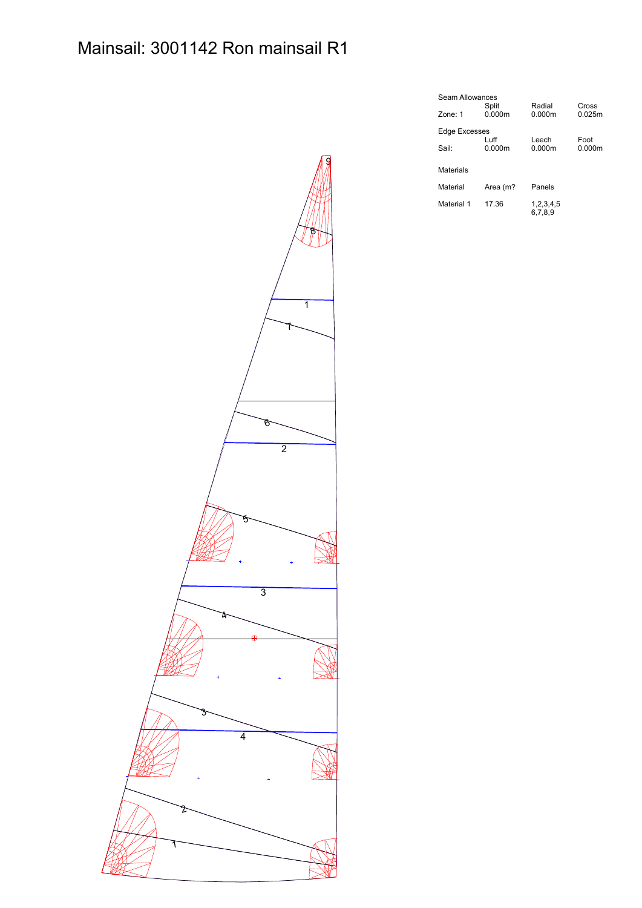

| Seam Allowances |                 |                  |                 |  |  |  |  |  |
|-----------------|-----------------|------------------|-----------------|--|--|--|--|--|
| Zone: 1         | Split<br>0.000m | Radial<br>0.000m | Cross<br>0.025m |  |  |  |  |  |
| Edge Excesses   |                 |                  |                 |  |  |  |  |  |
|                 | ∣uff            | Leech            | Foot            |  |  |  |  |  |
| Sail:           | 0.000m          | 0.000m           | 0.000m          |  |  |  |  |  |
| Materials       |                 |                  |                 |  |  |  |  |  |
| Material        | Area (m?        | Panels           |                 |  |  |  |  |  |
| Material 1      | 17.36           | 1,2,3,4,5        |                 |  |  |  |  |  |
|                 |                 | 6,7,8,9          |                 |  |  |  |  |  |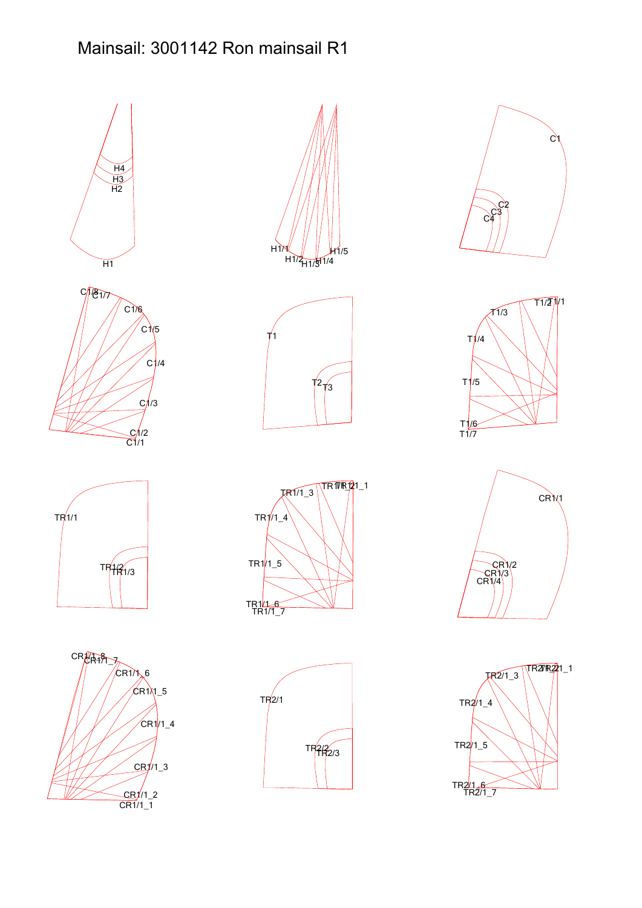## Mainsail: 3001142 Ron mainsail R1